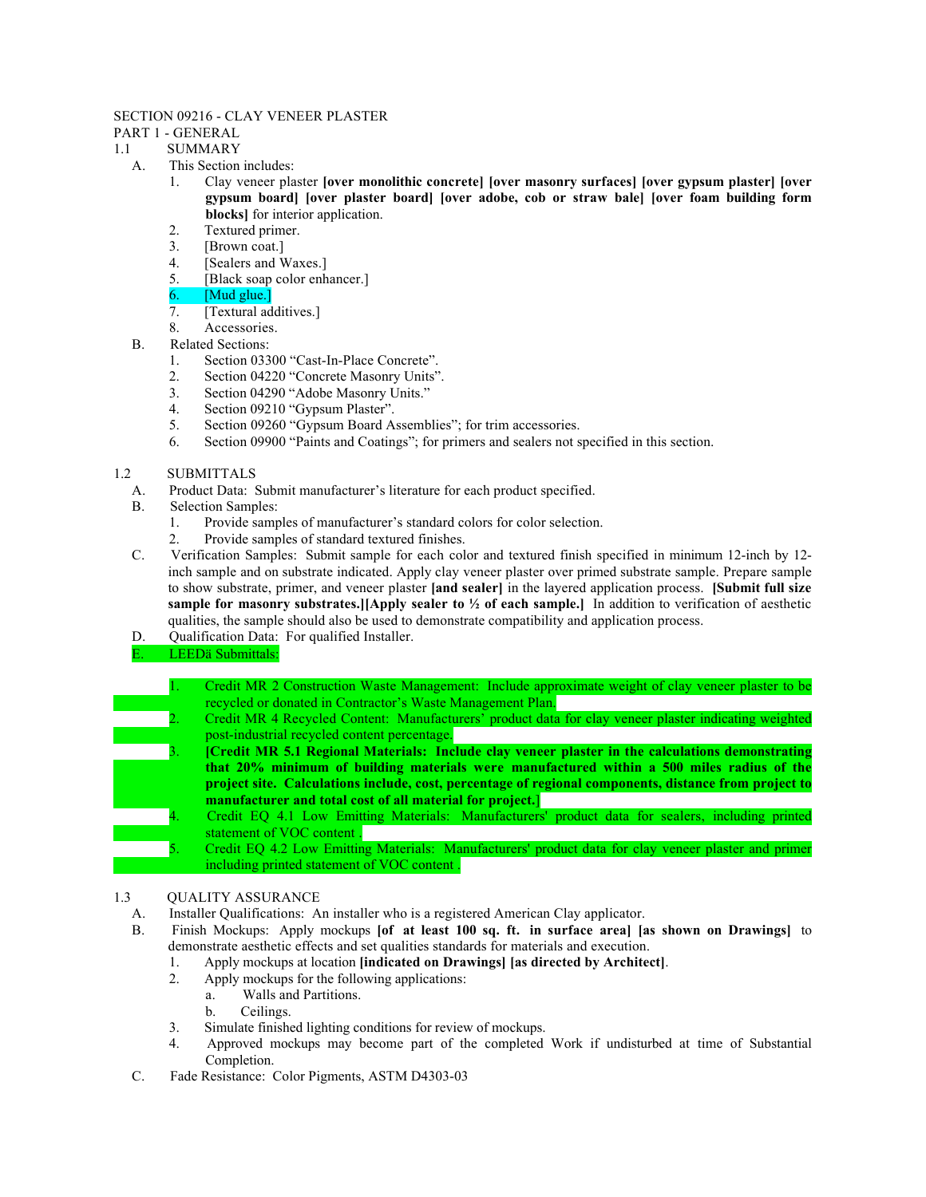#### SECTION 09216 - CLAY VENEER PLASTER

# PART 1 - GENERAL

- 1.1 SUMMARY
	- A. This Section includes:
		- 1. Clay veneer plaster [over monolithic concrete] [over masonry surfaces] [over gypsum plaster] [over gypsum board] [over plaster board] [over adobe, cob or straw bale] [over foam building form blocks] for interior application.
		- 2. Textured primer.
		- 3. [Brown coat.]
		- 4. [Sealers and Waxes.]
		- 5. [Black soap color enhancer.]
		- 6. [Mud glue.]
		- 7. [Textural additives.]
		- 8. Accessories.
	- B. Related Sections:
		- 1. Section 03300 "Cast-In-Place Concrete".
		- 2. Section 04220 "Concrete Masonry Units".
		- 3. Section 04290 "Adobe Masonry Units."
		- 4. Section 09210 "Gypsum Plaster".
		- 5. Section 09260 "Gypsum Board Assemblies"; for trim accessories.
		- 6. Section 09900 "Paints and Coatings"; for primers and sealers not specified in this section.

#### 1.2 SUBMITTALS

- A. Product Data: Submit manufacturer's literature for each product specified.
- B. Selection Samples:
	- 1. Provide samples of manufacturer's standard colors for color selection.
	- 2. Provide samples of standard textured finishes.
- C. Verification Samples: Submit sample for each color and textured finish specified in minimum 12-inch by 12 inch sample and on substrate indicated. Apply clay veneer plaster over primed substrate sample. Prepare sample to show substrate, primer, and veneer plaster [and sealer] in the layered application process. [Submit full size sample for masonry substrates.][Apply sealer to  $\frac{1}{2}$  of each sample.] In addition to verification of aesthetic qualities, the sample should also be used to demonstrate compatibility and application process.
- D. Qualification Data: For qualified Installer.
- E. LEEDä Submittals:
	- 1. Credit MR 2 Construction Waste Management: Include approximate weight of clay veneer plaster to be recycled or donated in Contractor's Waste Management Plan.
- 2. Credit MR 4 Recycled Content: Manufacturers' product data for clay veneer plaster indicating weighted post-industrial recycled content percentage.
- 3. [Credit MR 5.1 Regional Materials: Include clay veneer plaster in the calculations demonstrating that 20% minimum of building materials were manufactured within a 500 miles radius of the project site. Calculations include, cost, percentage of regional components, distance from project to manufacturer and total cost of all material for project.]
- 4. Credit EQ 4.1 Low Emitting Materials: Manufacturers' product data for sealers, including printed statement of VOC content .
- 5. Credit EQ 4.2 Low Emitting Materials: Manufacturers' product data for clay veneer plaster and primer including printed statement of VOC content .

# 1.3 QUALITY ASSURANCE

- A. Installer Qualifications: An installer who is a registered American Clay applicator.
- B. Finish Mockups: Apply mockups [of at least 100 sq. ft. in surface area] [as shown on Drawings] to demonstrate aesthetic effects and set qualities standards for materials and execution.
	- 1. Apply mockups at location [indicated on Drawings] [as directed by Architect].
	- 2. Apply mockups for the following applications:
		- a. Walls and Partitions.
		- b. Ceilings.
	- 3. Simulate finished lighting conditions for review of mockups.
	- 4. Approved mockups may become part of the completed Work if undisturbed at time of Substantial Completion.
- C. Fade Resistance: Color Pigments, ASTM D4303-03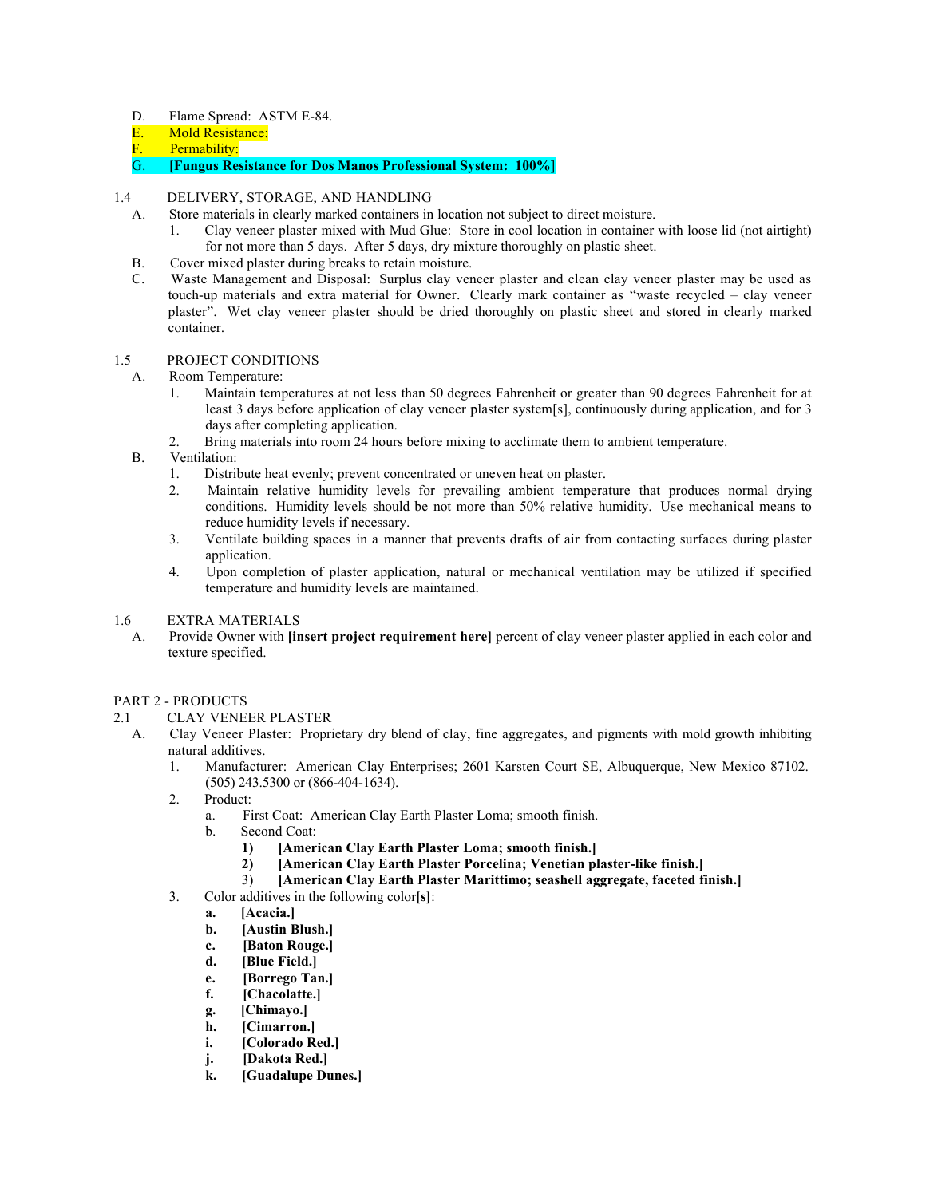- D. Flame Spread: ASTM E-84.
- E. Mold Resistance:
- **F.** Permability:<br>G. **[Fungus Resi**
- G. [Fungus Resistance for Dos Manos Professional System: 100%]
- 1.4 DELIVERY, STORAGE, AND HANDLING
	- A. Store materials in clearly marked containers in location not subject to direct moisture.
		- 1. Clay veneer plaster mixed with Mud Glue: Store in cool location in container with loose lid (not airtight) for not more than 5 days. After 5 days, dry mixture thoroughly on plastic sheet.
	- B. Cover mixed plaster during breaks to retain moisture.
	- C. Waste Management and Disposal: Surplus clay veneer plaster and clean clay veneer plaster may be used as touch-up materials and extra material for Owner. Clearly mark container as "waste recycled – clay veneer plaster". Wet clay veneer plaster should be dried thoroughly on plastic sheet and stored in clearly marked container.

#### 1.5 PROJECT CONDITIONS

- A. Room Temperature:
	- 1. Maintain temperatures at not less than 50 degrees Fahrenheit or greater than 90 degrees Fahrenheit for at least 3 days before application of clay veneer plaster system[s], continuously during application, and for 3 days after completing application.
	- 2. Bring materials into room 24 hours before mixing to acclimate them to ambient temperature.
- B. Ventilation:
	- 1. Distribute heat evenly; prevent concentrated or uneven heat on plaster.
	- 2. Maintain relative humidity levels for prevailing ambient temperature that produces normal drying conditions. Humidity levels should be not more than 50% relative humidity. Use mechanical means to reduce humidity levels if necessary.
	- 3. Ventilate building spaces in a manner that prevents drafts of air from contacting surfaces during plaster application.
	- 4. Upon completion of plaster application, natural or mechanical ventilation may be utilized if specified temperature and humidity levels are maintained.
- 1.6 EXTRA MATERIALS
	- A. Provide Owner with [insert project requirement here] percent of clay veneer plaster applied in each color and texture specified.

# PART 2 - PRODUCTS

- 2.1 CLAY VENEER PLASTER
	- A. Clay Veneer Plaster: Proprietary dry blend of clay, fine aggregates, and pigments with mold growth inhibiting natural additives.
		- 1. Manufacturer: American Clay Enterprises; 2601 Karsten Court SE, Albuquerque, New Mexico 87102. (505) 243.5300 or (866-404-1634).
		- 2. Product:
			- a. First Coat: American Clay Earth Plaster Loma; smooth finish.
			- b. Second Coat:
				- 1) [American Clay Earth Plaster Loma; smooth finish.]<br>2) [American Clay Earth Plaster Porcelina; Venetian pl
					- [American Clay Earth Plaster Porcelina; Venetian plaster-like finish.]
				- 3) [American Clay Earth Plaster Marittimo; seashell aggregate, faceted finish.]
		- 3. Color additives in the following color[s]:
			- a. [Acacia.]
			- b. [Austin Blush.]
			- c. [Baton Rouge.]
			- d. [Blue Field.]
			- e. [Borrego Tan.]
			- f. [Chacolatte.]
			- g. [Chimayo.]
			- h. [Cimarron.]
			- i. [Colorado Red.]
			- j. [Dakota Red.]
			- k. [Guadalupe Dunes.]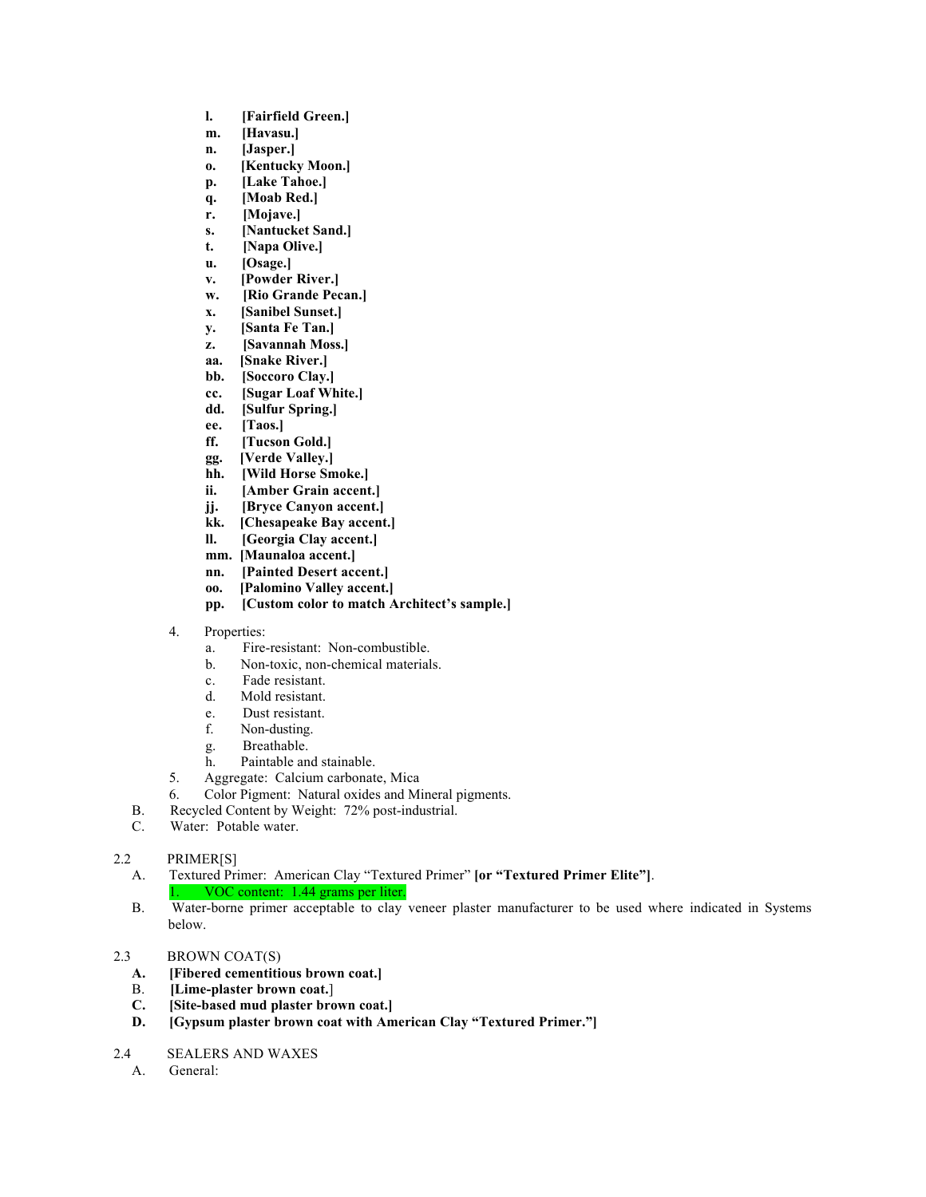- l. [Fairfield Green.]
- m. [Havasu.]
- n. [Jasper.]
- o. [Kentucky Moon.]
- p. [Lake Tahoe.]
- q. [Moab Red.]
- r. [Mojave.]
- s. [Nantucket Sand.]
- t. [Napa Olive.]
- u. [Osage.]
- v. [Powder River.]
- w. [Rio Grande Pecan.]
- x. [Sanibel Sunset.]
- y. [Santa Fe Tan.]
- z. [Savannah Moss.]
- aa. [Snake River.]
- bb. [Soccoro Clay.]
- cc. [Sugar Loaf White.]
- dd. [Sulfur Spring.]
- ee. [Taos.]
- ff. [Tucson Gold.]
- gg. [Verde Valley.]
- hh. [Wild Horse Smoke.]
- ii. [Amber Grain accent.]
- jj. [Bryce Canyon accent.]
- kk. [Chesapeake Bay accent.]
- ll. [Georgia Clay accent.]
- mm. [Maunaloa accent.]
- nn. [Painted Desert accent.]
- oo. [Palomino Valley accent.]
- pp. [Custom color to match Architect's sample.]
- 4. Properties:
	- a. Fire-resistant: Non-combustible.
	- b. Non-toxic, non-chemical materials.
	- c. Fade resistant.
	- d. Mold resistant.
	- e. Dust resistant.
	- f. Non-dusting.
	- g. Breathable.
	- h. Paintable and stainable.
- 5. Aggregate: Calcium carbonate, Mica
- 6. Color Pigment: Natural oxides and Mineral pigments.
- B. Recycled Content by Weight: 72% post-industrial.
- C. Water: Potable water.

# 2.2 PRIMER[S]

- A. Textured Primer: American Clay "Textured Primer" [or "Textured Primer Elite"]. VOC content: 1.44 grams per liter.
- B. Water-borne primer acceptable to clay veneer plaster manufacturer to be used where indicated in Systems below.

# 2.3 BROWN COAT(S)

- A. [Fibered cementitious brown coat.]
- B. [Lime-plaster brown coat.]
- C. [Site-based mud plaster brown coat.]
- D. [Gypsum plaster brown coat with American Clay "Textured Primer."]
- 2.4 SEALERS AND WAXES
	- A. General: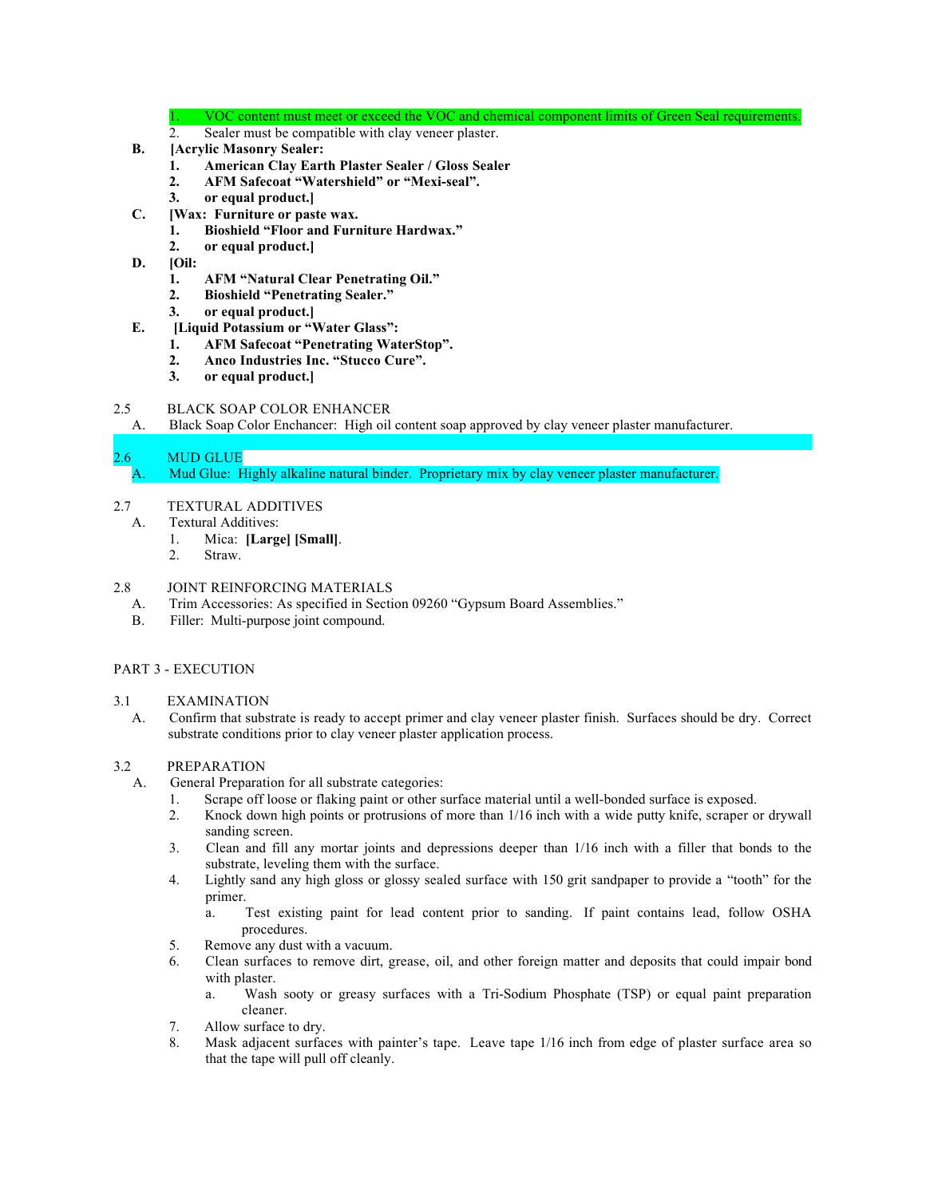VOC content must meet or exceed the VOC and chemical component limits of Green Seal requirements.

- 2. Sealer must be compatible with clay veneer plaster.
- B. [Acrylic Masonry Sealer:
	- 1. American Clay Earth Plaster Sealer / Gloss Sealer
	- 2. AFM Safecoat "Watershield" or "Mexi-seal".
	- 3. or equal product.]
- C. [Wax: Furniture or paste wax.
	- 1. Bioshield "Floor and Furniture Hardwax."
	- 2. or equal product.]
- D. [Oil:
	- 1. AFM "Natural Clear Penetrating Oil."
	- 2. Bioshield "Penetrating Sealer."
	- 3. or equal product.]
- E. [Liquid Potassium or "Water Glass":
	- 1. AFM Safecoat "Penetrating WaterStop".
	- 2. Anco Industries Inc. "Stucco Cure".
	- 3. or equal product.]

# 2.5 BLACK SOAP COLOR ENHANCER

A. Black Soap Color Enchancer: High oil content soap approved by clay veneer plaster manufacturer.

# 2.6 MUD GLUE

A. Mud Glue: Highly alkaline natural binder. Proprietary mix by clay veneer plaster manufacturer.

- 2.7 TEXTURAL ADDITIVES
	- A. Textural Additives:
		- 1. Mica: [Large] [Small].
		- 2. Straw.

# 2.8 JOINT REINFORCING MATERIALS

- A. Trim Accessories: As specified in Section 09260 "Gypsum Board Assemblies."
- B. Filler: Multi-purpose joint compound.

# PART 3 - EXECUTION

#### 3.1 EXAMINATION

A. Confirm that substrate is ready to accept primer and clay veneer plaster finish. Surfaces should be dry. Correct substrate conditions prior to clay veneer plaster application process.

# 3.2 PREPARATION

- A. General Preparation for all substrate categories:
	- 1. Scrape off loose or flaking paint or other surface material until a well-bonded surface is exposed.
	- 2. Knock down high points or protrusions of more than 1/16 inch with a wide putty knife, scraper or drywall sanding screen.
	- 3. Clean and fill any mortar joints and depressions deeper than 1/16 inch with a filler that bonds to the substrate, leveling them with the surface.
	- 4. Lightly sand any high gloss or glossy sealed surface with 150 grit sandpaper to provide a "tooth" for the primer.
		- a. Test existing paint for lead content prior to sanding. If paint contains lead, follow OSHA procedures.
	- 5. Remove any dust with a vacuum.
	- 6. Clean surfaces to remove dirt, grease, oil, and other foreign matter and deposits that could impair bond with plaster.
		- a. Wash sooty or greasy surfaces with a Tri-Sodium Phosphate (TSP) or equal paint preparation cleaner.
	- 7. Allow surface to dry.
	- 8. Mask adjacent surfaces with painter's tape. Leave tape 1/16 inch from edge of plaster surface area so that the tape will pull off cleanly.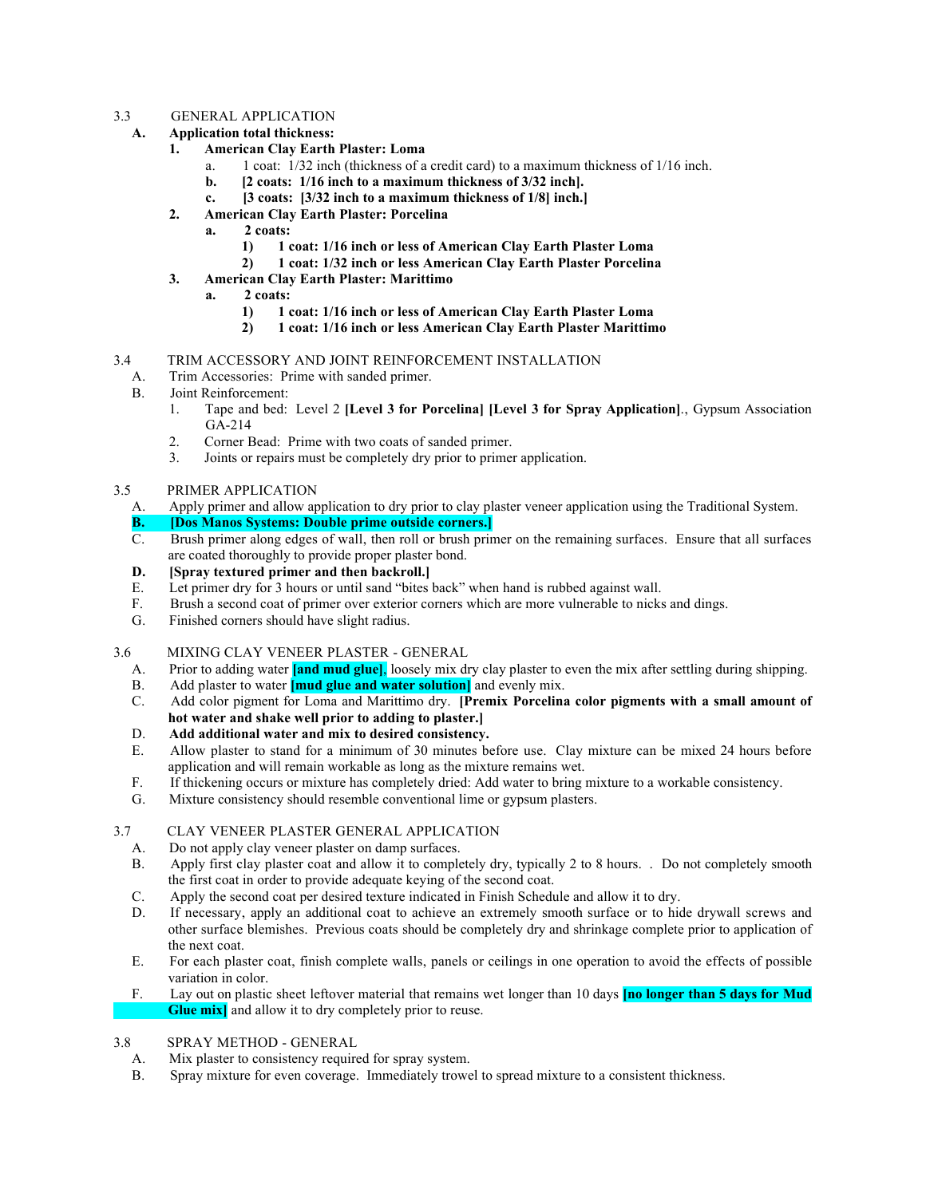#### 3.3 GENERAL APPLICATION

- A. Application total thickness:
	- 1. American Clay Earth Plaster: Loma
		- a. 1 coat: 1/32 inch (thickness of a credit card) to a maximum thickness of 1/16 inch.
		- b. [2 coats: 1/16 inch to a maximum thickness of 3/32 inch].
		- c. [3 coats: [3/32 inch to a maximum thickness of 1/8] inch.]
	- 2. American Clay Earth Plaster: Porcelina
		- a. 2 coats:
			- 1) 1 coat: 1/16 inch or less of American Clay Earth Plaster Loma
			- 2) 1 coat: 1/32 inch or less American Clay Earth Plaster Porcelina
	- 3. American Clay Earth Plaster: Marittimo
		- a. 2 coats:
			- 1) 1 coat: 1/16 inch or less of American Clay Earth Plaster Loma
			- 2) 1 coat: 1/16 inch or less American Clay Earth Plaster Marittimo

#### 3.4 TRIM ACCESSORY AND JOINT REINFORCEMENT INSTALLATION

- A. Trim Accessories: Prime with sanded primer.
- B. Joint Reinforcement:
	- 1. Tape and bed: Level 2 [Level 3 for Porcelina] [Level 3 for Spray Application]., Gypsum Association GA-214
	- 2. Corner Bead: Prime with two coats of sanded primer.<br>3. Joints or repairs must be completely dry prior to prime
	- 3. Joints or repairs must be completely dry prior to primer application.
- 3.5 PRIMER APPLICATION
	- A. Apply primer and allow application to dry prior to clay plaster veneer application using the Traditional System.
	- B. **[Dos Manos Systems: Double prime outside corners.]**
	- C. Brush primer along edges of wall, then roll or brush primer on the remaining surfaces. Ensure that all surfaces are coated thoroughly to provide proper plaster bond.
	- D. [Spray textured primer and then backroll.]
	- E. Let primer dry for 3 hours or until sand "bites back" when hand is rubbed against wall.
	- F. Brush a second coat of primer over exterior corners which are more vulnerable to nicks and dings.
	- G. Finished corners should have slight radius.
- 3.6 MIXING CLAY VENEER PLASTER GENERAL
	- A. Prior to adding water **[and mud glue]**, loosely mix dry clay plaster to even the mix after settling during shipping.
	- B. Add plaster to water **[mud glue and water solution]** and evenly mix.
	- C. Add color pigment for Loma and Marittimo dry. [Premix Porcelina color pigments with a small amount of hot water and shake well prior to adding to plaster.]
	- D. Add additional water and mix to desired consistency.
	- E. Allow plaster to stand for a minimum of 30 minutes before use. Clay mixture can be mixed 24 hours before application and will remain workable as long as the mixture remains wet.
	- F. If thickening occurs or mixture has completely dried: Add water to bring mixture to a workable consistency.
	- G. Mixture consistency should resemble conventional lime or gypsum plasters.

# 3.7 CLAY VENEER PLASTER GENERAL APPLICATION

- A. Do not apply clay veneer plaster on damp surfaces.
- B. Apply first clay plaster coat and allow it to completely dry, typically 2 to 8 hours. . Do not completely smooth the first coat in order to provide adequate keying of the second coat.
- C. Apply the second coat per desired texture indicated in Finish Schedule and allow it to dry.
- D. If necessary, apply an additional coat to achieve an extremely smooth surface or to hide drywall screws and other surface blemishes. Previous coats should be completely dry and shrinkage complete prior to application of the next coat.
- E. For each plaster coat, finish complete walls, panels or ceilings in one operation to avoid the effects of possible variation in color.
- F. Lay out on plastic sheet leftover material that remains wet longer than 10 days **[no longer than 5 days for Mud Glue mix** and allow it to dry completely prior to reuse.
- 3.8 SPRAY METHOD GENERAL
	- A. Mix plaster to consistency required for spray system.
	- B. Spray mixture for even coverage. Immediately trowel to spread mixture to a consistent thickness.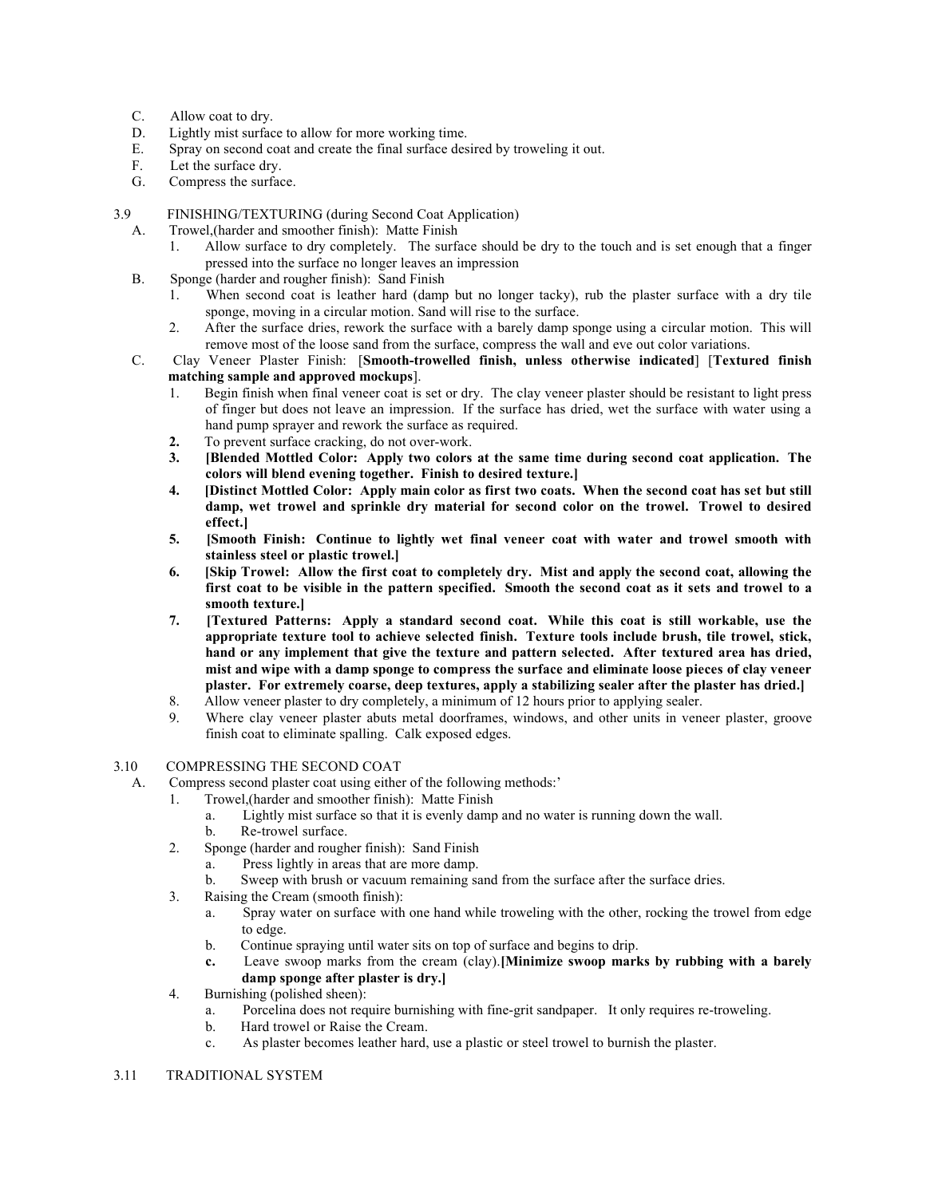- C. Allow coat to dry.
- D. Lightly mist surface to allow for more working time.
- E. Spray on second coat and create the final surface desired by troweling it out.<br>F. Let the surface drv.
- Let the surface dry.
- G. Compress the surface.
- 3.9 FINISHING/TEXTURING (during Second Coat Application)
	- A. Trowel,(harder and smoother finish): Matte Finish
		- 1. Allow surface to dry completely. The surface should be dry to the touch and is set enough that a finger pressed into the surface no longer leaves an impression
	- B. Sponge (harder and rougher finish): Sand Finish
		- 1. When second coat is leather hard (damp but no longer tacky), rub the plaster surface with a dry tile sponge, moving in a circular motion. Sand will rise to the surface.
		- 2. After the surface dries, rework the surface with a barely damp sponge using a circular motion. This will remove most of the loose sand from the surface, compress the wall and eve out color variations.
	- C. Clay Veneer Plaster Finish: [Smooth-trowelled finish, unless otherwise indicated] [Textured finish matching sample and approved mockups].
		- 1. Begin finish when final veneer coat is set or dry. The clay veneer plaster should be resistant to light press of finger but does not leave an impression. If the surface has dried, wet the surface with water using a hand pump sprayer and rework the surface as required.
		- 2. To prevent surface cracking, do not over-work.
		- 3. [Blended Mottled Color: Apply two colors at the same time during second coat application. The colors will blend evening together. Finish to desired texture.]
		- 4. [Distinct Mottled Color: Apply main color as first two coats. When the second coat has set but still damp, wet trowel and sprinkle dry material for second color on the trowel. Trowel to desired effect.]
		- 5. [Smooth Finish: Continue to lightly wet final veneer coat with water and trowel smooth with stainless steel or plastic trowel.]
		- 6. [Skip Trowel: Allow the first coat to completely dry. Mist and apply the second coat, allowing the first coat to be visible in the pattern specified. Smooth the second coat as it sets and trowel to a smooth texture.]
		- 7. [Textured Patterns: Apply a standard second coat. While this coat is still workable, use the appropriate texture tool to achieve selected finish. Texture tools include brush, tile trowel, stick, hand or any implement that give the texture and pattern selected. After textured area has dried, mist and wipe with a damp sponge to compress the surface and eliminate loose pieces of clay veneer plaster. For extremely coarse, deep textures, apply a stabilizing sealer after the plaster has dried.]
		- 8. Allow veneer plaster to dry completely, a minimum of 12 hours prior to applying sealer.
		- 9. Where clay veneer plaster abuts metal doorframes, windows, and other units in veneer plaster, groove finish coat to eliminate spalling. Calk exposed edges.

#### 3.10 COMPRESSING THE SECOND COAT

- A. Compress second plaster coat using either of the following methods:'
	- 1. Trowel,(harder and smoother finish): Matte Finish
		- a. Lightly mist surface so that it is evenly damp and no water is running down the wall.
		- b. Re-trowel surface.
	- 2. Sponge (harder and rougher finish): Sand Finish
		- a. Press lightly in areas that are more damp.
		- b. Sweep with brush or vacuum remaining sand from the surface after the surface dries.
	- 3. Raising the Cream (smooth finish):
		- a. Spray water on surface with one hand while troweling with the other, rocking the trowel from edge to edge.
		- b. Continue spraying until water sits on top of surface and begins to drip.
		- c. Leave swoop marks from the cream (clay).[Minimize swoop marks by rubbing with a barely damp sponge after plaster is dry.]
	- 4. Burnishing (polished sheen):
		- a. Porcelina does not require burnishing with fine-grit sandpaper. It only requires re-troweling.
		- b. Hard trowel or Raise the Cream.
		- c. As plaster becomes leather hard, use a plastic or steel trowel to burnish the plaster.

#### 3.11 TRADITIONAL SYSTEM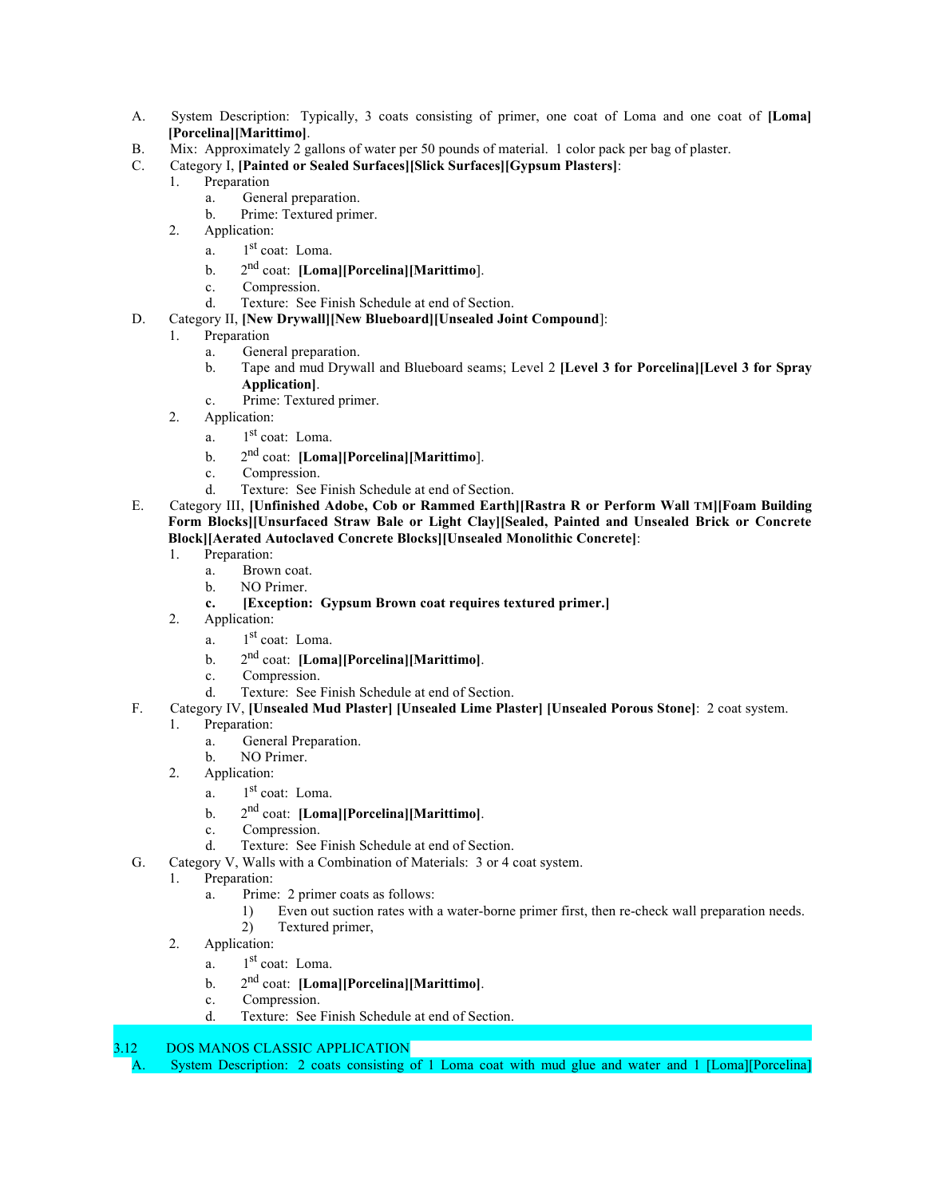- A. System Description: Typically, 3 coats consisting of primer, one coat of Loma and one coat of [Loma] [Porcelina][Marittimo].
- B. Mix: Approximately 2 gallons of water per 50 pounds of material. 1 color pack per bag of plaster.
- C. Category I, [Painted or Sealed Surfaces][Slick Surfaces][Gypsum Plasters]:
	- 1. Preparation
		- a. General preparation.
		- b. Prime: Textured primer.
	- 2. Application:
		- a.  $1<sup>st</sup>$  coat: Loma.
		- b.  $2^{nd}$  coat: [Loma][Porcelina][Marittimo].
		- c. Compression.
		- d. Texture: See Finish Schedule at end of Section.
- D. Category II, [New Drywall][New Blueboard][Unsealed Joint Compound]:
	- 1. Preparation
		- a. General preparation.
		- b. Tape and mud Drywall and Blueboard seams; Level 2 [Level 3 for Porcelina][Level 3 for Spray Application].
		- c. Prime: Textured primer.
	- 2. Application:
		- a. 1st coat: Loma.
		- b.  $2<sup>nd</sup> coat: [Loma][Porcelina][Marittimo].$
		- c. Compression.
		- d. Texture: See Finish Schedule at end of Section.
- E. Category III, [Unfinished Adobe, Cob or Rammed Earth][Rastra R or Perform Wall TM][Foam Building Form Blocks][Unsurfaced Straw Bale or Light Clay][Sealed, Painted and Unsealed Brick or Concrete Block][Aerated Autoclaved Concrete Blocks][Unsealed Monolithic Concrete]:
	- 1. Preparation:
		- a. Brown coat.
		- b. NO Primer.
		- c. [Exception: Gypsum Brown coat requires textured primer.]
	- 2. Application:
		- a.  $1<sup>st</sup>$  coat: Loma.
		- b.  $2<sup>nd</sup> coat: [Loma][Porcelina][Marittimo].$
		- c. Compression.
		- d. Texture: See Finish Schedule at end of Section.
- F. Category IV, [Unsealed Mud Plaster] [Unsealed Lime Plaster] [Unsealed Porous Stone]: 2 coat system.
	- 1. Preparation:
		- a. General Preparation.
		- b. NO Primer.
	- 2. Application:
		- a.  $1<sup>st</sup>$  coat: Loma.
		- b.  $2^{nd}$  coat: [Loma][Porcelina][Marittimo].
		- c. Compression.
		- d. Texture: See Finish Schedule at end of Section.
- G. Category V, Walls with a Combination of Materials: 3 or 4 coat system.
	- 1. Preparation:
		- a. Prime: 2 primer coats as follows:
			- 1) Even out suction rates with a water-borne primer first, then re-check wall preparation needs. 2) Textured primer,
	- 2. Application:
		- a.  $1<sup>st</sup>$  coat: Loma.
		- b.  $2^{nd}$  coat: [Loma][Porcelina][Marittimo].
		- c. Compression.
		- d. Texture: See Finish Schedule at end of Section.
- 3.12 DOS MANOS CLASSIC APPLICATION

A. System Description: 2 coats consisting of 1 Loma coat with mud glue and water and 1 [Loma][Porcelina]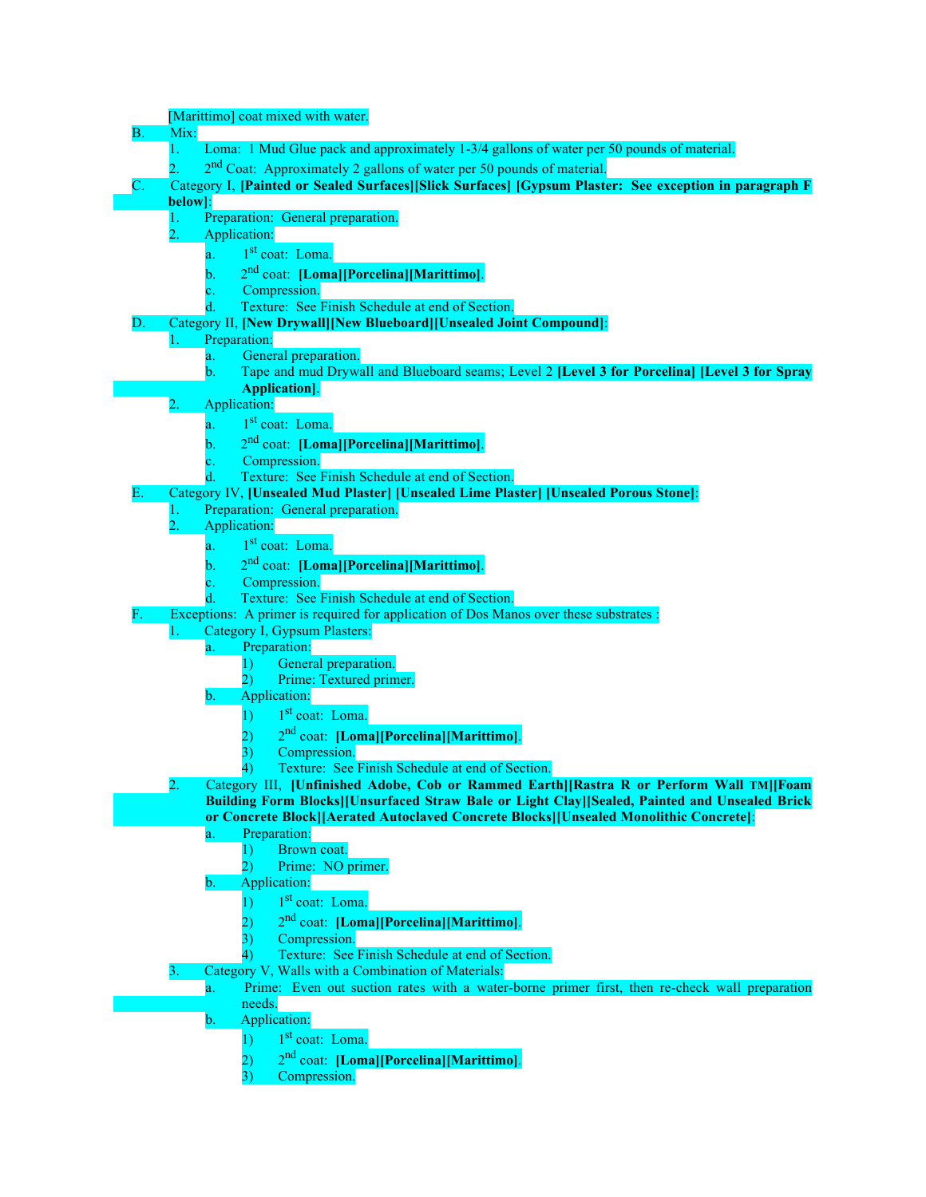|           | [Marittimo] coat mixed with water.                                                                       |
|-----------|----------------------------------------------------------------------------------------------------------|
| <b>B.</b> | Mix:                                                                                                     |
|           | Loma: 1 Mud Glue pack and approximately 1-3/4 gallons of water per 50 pounds of material.                |
|           | 2 <sup>nd</sup> Coat: Approximately 2 gallons of water per 50 pounds of material.                        |
|           | Category I, [Painted or Sealed Surfaces][Slick Surfaces] [Gypsum Plaster: See exception in paragraph F   |
|           | below]:                                                                                                  |
|           | Preparation: General preparation.<br>1.                                                                  |
|           | $\overline{2}$ .<br>Application:                                                                         |
|           | 1 <sup>st</sup> coat: Loma.<br>$a_{n+1}$                                                                 |
|           | 2 <sup>nd</sup> coat: [Loma][Porcelina][Marittimo].                                                      |
|           | b.                                                                                                       |
|           | Compression.<br>c.<br>Texture: See Finish Schedule at end of Section.                                    |
|           | Category II, [New Drywall][New Blueboard][Unsealed Joint Compound]:                                      |
| D.        |                                                                                                          |
|           | Preparation:<br>1.<br>General preparation.                                                               |
|           | a.<br>Tape and mud Drywall and Blueboard seams; Level 2 [Level 3 for Porcelina] [Level 3 for Spray<br>b. |
|           | Application].                                                                                            |
|           | 2.<br>Application:                                                                                       |
|           | 1 <sup>st</sup> coat: Loma.                                                                              |
|           | a.                                                                                                       |
|           | 2 <sup>nd</sup> coat: [Loma][Porcelina][Marittimo].<br>b.                                                |
|           | Compression.<br>$\mathbf{c}$ .                                                                           |
|           | Texture: See Finish Schedule at end of Section.<br>d.                                                    |
| Е.        | Category IV, [Unsealed Mud Plaster] [Unsealed Lime Plaster] [Unsealed Porous Stone]:                     |
|           | Preparation: General preparation.<br>1.                                                                  |
|           | $\overline{2}$ .<br>Application:                                                                         |
|           | 1 <sup>st</sup> coat: Loma.<br>a.                                                                        |
|           | 2 <sup>nd</sup> coat: [Loma][Porcelina][Marittimo].<br>b.                                                |
|           | Compression.                                                                                             |
|           | Texture: See Finish Schedule at end of Section.                                                          |
| F.        | Exceptions: A primer is required for application of Dos Manos over these substrates :                    |
|           | Category I, Gypsum Plasters:<br>1.                                                                       |
|           | Preparation:<br>a.                                                                                       |
|           | General preparation.<br>$\bf{D}$                                                                         |
|           | $\overline{2}$<br>Prime: Textured primer.                                                                |
|           | Application:<br>b.                                                                                       |
|           | 1 <sup>st</sup> coat: Loma.<br>1)                                                                        |
|           | 2 <sup>nd</sup> coat: [Loma][Porcelina][Marittimo].                                                      |
|           | Compression.                                                                                             |
|           | Texture: See Finish Schedule at end of Section.                                                          |
|           | Category III, [Unfinished Adobe, Cob or Rammed Earth][Rastra R or Perform Wall TM][Foam                  |
|           | Building Form Blocks][Unsurfaced Straw Bale or Light Clay][Sealed, Painted and Unsealed Brick            |
|           | or Concrete Block [[Aerated Autoclaved Concrete Blocks][Unsealed Monolithic Concrete]:                   |
|           | Preparation:<br>a.                                                                                       |
|           | Brown coat.<br>1)                                                                                        |
|           | Prime: NO primer.<br>2)                                                                                  |
|           | Application:<br>$\mathbf{b}$ .                                                                           |
|           | 1 <sup>st</sup> coat: Loma.<br>1)                                                                        |
|           | 2 <sup>nd</sup> coat: [Loma][Porcelina][Marittimo].                                                      |
|           | Compression.<br>3)                                                                                       |
|           | Texture: See Finish Schedule at end of Section.                                                          |
|           | Category V, Walls with a Combination of Materials:<br>3.                                                 |
|           | Prime: Even out suction rates with a water-borne primer first, then re-check wall preparation<br>a.      |
|           | needs.                                                                                                   |
|           | Application:<br>$\mathbf{b}$ .                                                                           |
|           | 1 <sup>st</sup> coat: Loma.<br>$\overline{1}$                                                            |
|           | 2 <sup>nd</sup> coat: [Loma][Porcelina][Marittimo].<br>2)                                                |
|           | Compression.<br>3)                                                                                       |
|           |                                                                                                          |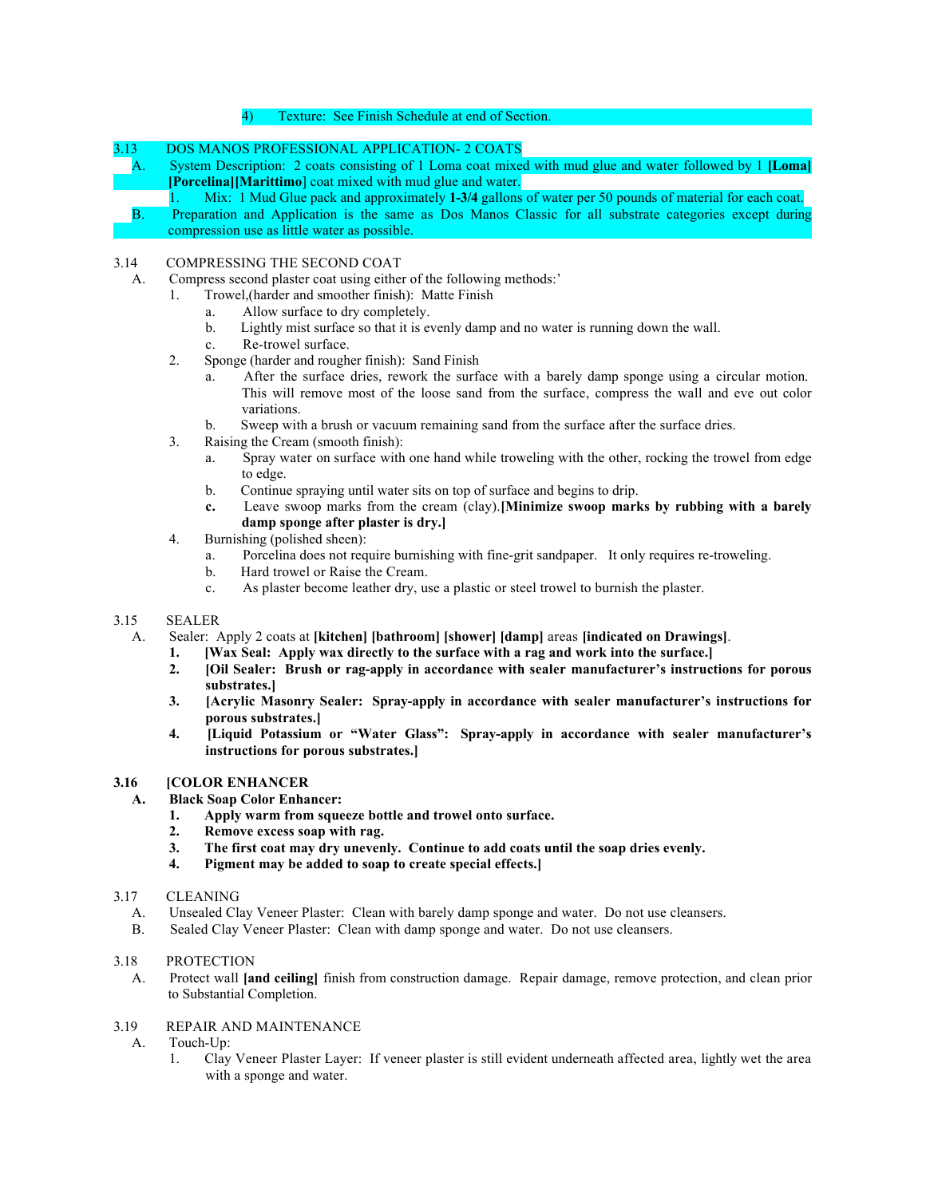#### 4) Texture: See Finish Schedule at end of Section.

#### 3.13 DOS MANOS PROFESSIONAL APPLICATION- 2 COATS

A. System Description: 2 coats consisting of 1 Loma coat mixed with mud glue and water followed by 1 [Loma] [Porcelina][Marittimo] coat mixed with mud glue and water.

1. Mix: 1 Mud Glue pack and approximately 1-3/4 gallons of water per 50 pounds of material for each coat. B. Preparation and Application is the same as Dos Manos Classic for all substrate categories except during compression use as little water as possible.

#### 3.14 COMPRESSING THE SECOND COAT

- A. Compress second plaster coat using either of the following methods:'
	- 1. Trowel,(harder and smoother finish): Matte Finish
		- a. Allow surface to dry completely.
		- b. Lightly mist surface so that it is evenly damp and no water is running down the wall.
		- c. Re-trowel surface.
	- 2. Sponge (harder and rougher finish): Sand Finish
		- a. After the surface dries, rework the surface with a barely damp sponge using a circular motion. This will remove most of the loose sand from the surface, compress the wall and eve out color variations.
		- b. Sweep with a brush or vacuum remaining sand from the surface after the surface dries.
	- 3. Raising the Cream (smooth finish):
		- a. Spray water on surface with one hand while troweling with the other, rocking the trowel from edge to edge.
		- b. Continue spraying until water sits on top of surface and begins to drip.
		- c. Leave swoop marks from the cream (clay).[Minimize swoop marks by rubbing with a barely damp sponge after plaster is dry.]
	- 4. Burnishing (polished sheen):
		- a. Porcelina does not require burnishing with fine-grit sandpaper. It only requires re-troweling.
		- b. Hard trowel or Raise the Cream.
		- c. As plaster become leather dry, use a plastic or steel trowel to burnish the plaster.

#### 3.15 SEALER

- A. Sealer: Apply 2 coats at [kitchen] [bathroom] [shower] [damp] areas [indicated on Drawings].
	- 1. [Wax Seal: Apply wax directly to the surface with a rag and work into the surface.]
	- 2. [Oil Sealer: Brush or rag-apply in accordance with sealer manufacturer's instructions for porous substrates.]
	- 3. [Acrylic Masonry Sealer: Spray-apply in accordance with sealer manufacturer's instructions for porous substrates.]
	- 4. [Liquid Potassium or "Water Glass": Spray-apply in accordance with sealer manufacturer's instructions for porous substrates.]

# 3.16 [COLOR ENHANCER

- A. Black Soap Color Enhancer:
	- 1. Apply warm from squeeze bottle and trowel onto surface.
	- 2. Remove excess soap with rag.
	- 3. The first coat may dry unevenly. Continue to add coats until the soap dries evenly.<br>4. Pigment may be added to soap to create special effects.
	- Pigment may be added to soap to create special effects.
- 3.17 CLEANING
	- A. Unsealed Clay Veneer Plaster: Clean with barely damp sponge and water. Do not use cleansers.
	- B. Sealed Clay Veneer Plaster: Clean with damp sponge and water. Do not use cleansers.

# 3.18 PROTECTION

A. Protect wall [and ceiling] finish from construction damage. Repair damage, remove protection, and clean prior to Substantial Completion.

# 3.19 REPAIR AND MAINTENANCE

- A. Touch-Up:
	- 1. Clay Veneer Plaster Layer: If veneer plaster is still evident underneath affected area, lightly wet the area with a sponge and water.